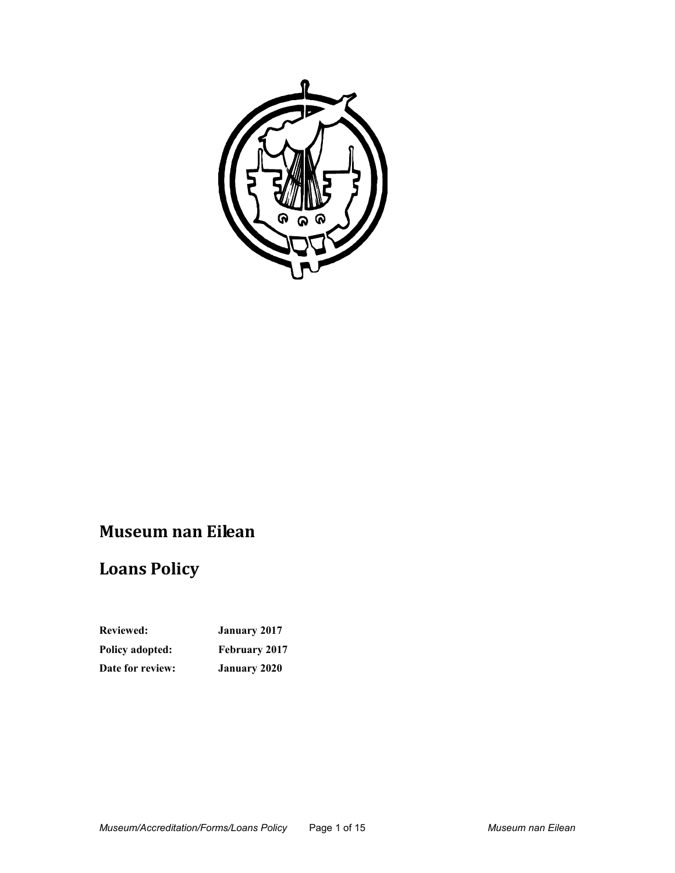

# **Museum nan Eilean**

# **Loans Policy**

| <b>Reviewed:</b> | <b>January 2017</b> |
|------------------|---------------------|
| Policy adopted:  | February 2017       |
| Date for review: | <b>January 2020</b> |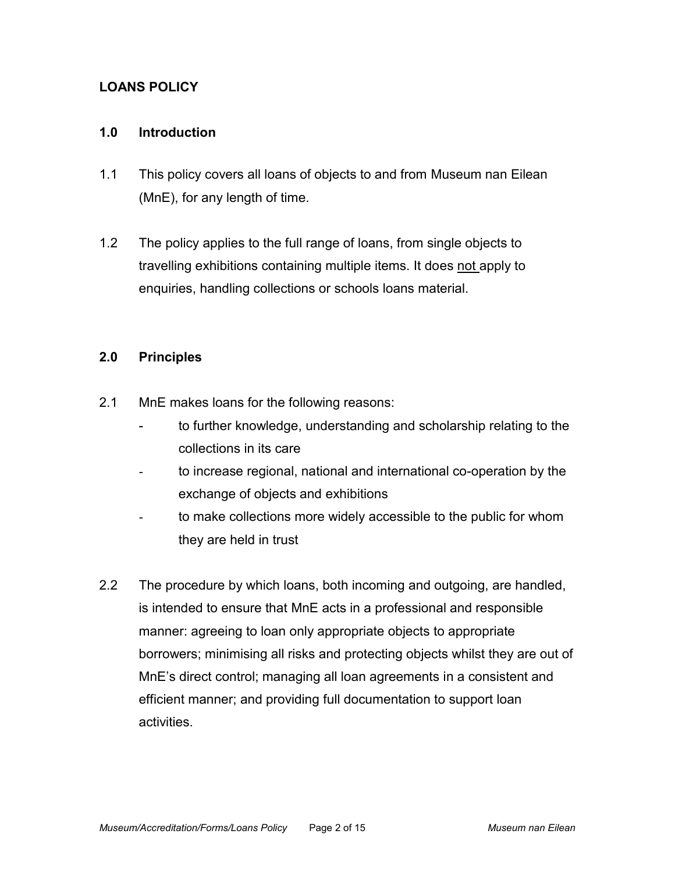# **LOANS POLICY**

#### **1.0 Introduction**

- 1.1 This policy covers all loans of objects to and from Museum nan Eilean (MnE), for any length of time.
- 1.2 The policy applies to the full range of loans, from single objects to travelling exhibitions containing multiple items. It does not apply to enquiries, handling collections or schools loans material.

#### **2.0 Principles**

- 2.1 MnE makes loans for the following reasons:
	- to further knowledge, understanding and scholarship relating to the collections in its care
	- to increase regional, national and international co-operation by the exchange of objects and exhibitions
	- to make collections more widely accessible to the public for whom they are held in trust
- 2.2 The procedure by which loans, both incoming and outgoing, are handled, is intended to ensure that MnE acts in a professional and responsible manner: agreeing to loan only appropriate objects to appropriate borrowers; minimising all risks and protecting objects whilst they are out of MnE's direct control; managing all loan agreements in a consistent and efficient manner; and providing full documentation to support loan activities.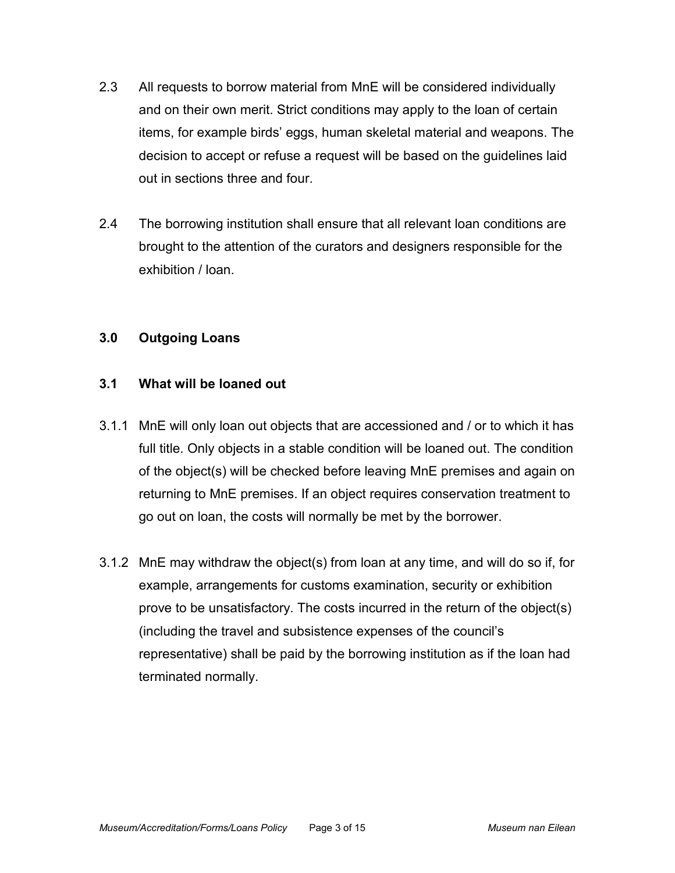- 2.3 All requests to borrow material from MnE will be considered individually and on their own merit. Strict conditions may apply to the loan of certain items, for example birds' eggs, human skeletal material and weapons. The decision to accept or refuse a request will be based on the guidelines laid out in sections three and four.
- 2.4 The borrowing institution shall ensure that all relevant loan conditions are brought to the attention of the curators and designers responsible for the exhibition / loan.

## **3.0 Outgoing Loans**

## **3.1 What will be loaned out**

- 3.1.1 MnE will only loan out objects that are accessioned and / or to which it has full title. Only objects in a stable condition will be loaned out. The condition of the object(s) will be checked before leaving MnE premises and again on returning to MnE premises. If an object requires conservation treatment to go out on loan, the costs will normally be met by the borrower.
- 3.1.2 MnE may withdraw the object(s) from loan at any time, and will do so if, for example, arrangements for customs examination, security or exhibition prove to be unsatisfactory. The costs incurred in the return of the object(s) (including the travel and subsistence expenses of the council's representative) shall be paid by the borrowing institution as if the loan had terminated normally.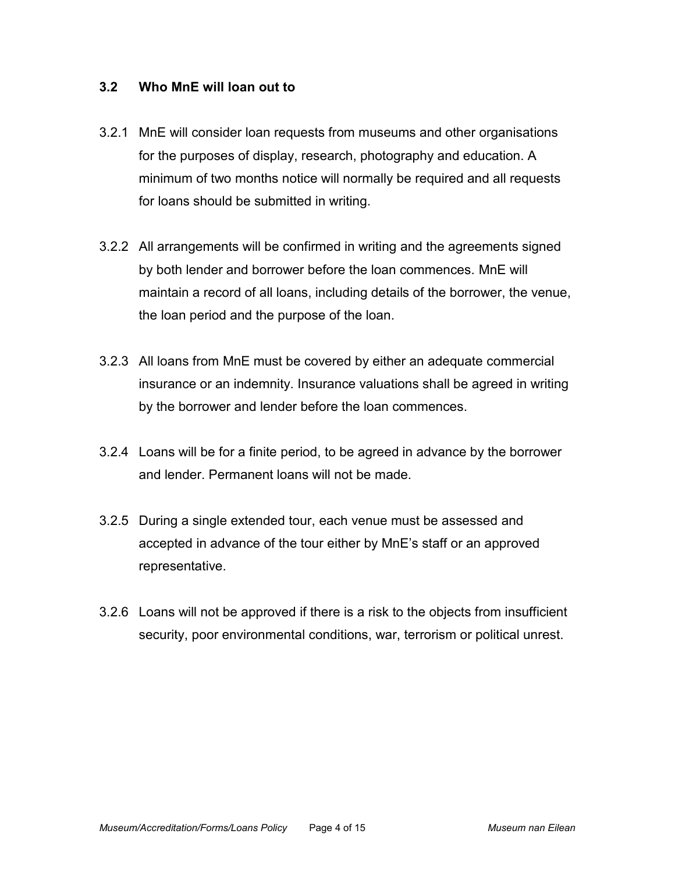#### **3.2 Who MnE will loan out to**

- 3.2.1 MnE will consider loan requests from museums and other organisations for the purposes of display, research, photography and education. A minimum of two months notice will normally be required and all requests for loans should be submitted in writing.
- 3.2.2 All arrangements will be confirmed in writing and the agreements signed by both lender and borrower before the loan commences. MnE will maintain a record of all loans, including details of the borrower, the venue, the loan period and the purpose of the loan.
- 3.2.3 All loans from MnE must be covered by either an adequate commercial insurance or an indemnity. Insurance valuations shall be agreed in writing by the borrower and lender before the loan commences.
- 3.2.4 Loans will be for a finite period, to be agreed in advance by the borrower and lender. Permanent loans will not be made.
- 3.2.5 During a single extended tour, each venue must be assessed and accepted in advance of the tour either by MnE's staff or an approved representative.
- 3.2.6 Loans will not be approved if there is a risk to the objects from insufficient security, poor environmental conditions, war, terrorism or political unrest.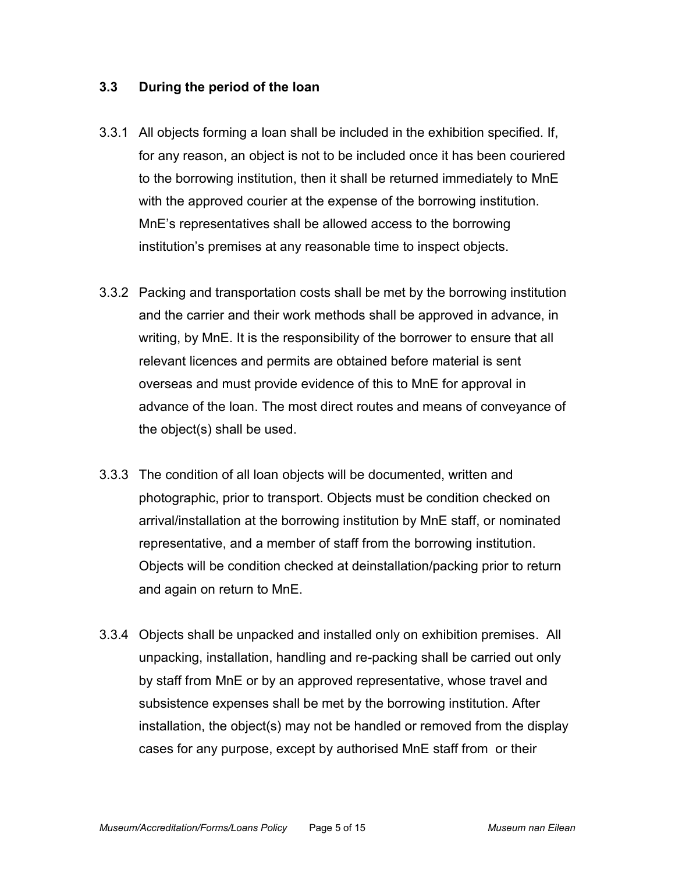#### **3.3 During the period of the loan**

- 3.3.1 All objects forming a loan shall be included in the exhibition specified. If, for any reason, an object is not to be included once it has been couriered to the borrowing institution, then it shall be returned immediately to MnE with the approved courier at the expense of the borrowing institution. MnE's representatives shall be allowed access to the borrowing institution's premises at any reasonable time to inspect objects.
- 3.3.2 Packing and transportation costs shall be met by the borrowing institution and the carrier and their work methods shall be approved in advance, in writing, by MnE. It is the responsibility of the borrower to ensure that all relevant licences and permits are obtained before material is sent overseas and must provide evidence of this to MnE for approval in advance of the loan. The most direct routes and means of conveyance of the object(s) shall be used.
- 3.3.3 The condition of all loan objects will be documented, written and photographic, prior to transport. Objects must be condition checked on arrival/installation at the borrowing institution by MnE staff, or nominated representative, and a member of staff from the borrowing institution. Objects will be condition checked at deinstallation/packing prior to return and again on return to MnE.
- 3.3.4 Objects shall be unpacked and installed only on exhibition premises. All unpacking, installation, handling and re-packing shall be carried out only by staff from MnE or by an approved representative, whose travel and subsistence expenses shall be met by the borrowing institution. After installation, the object(s) may not be handled or removed from the display cases for any purpose, except by authorised MnE staff from or their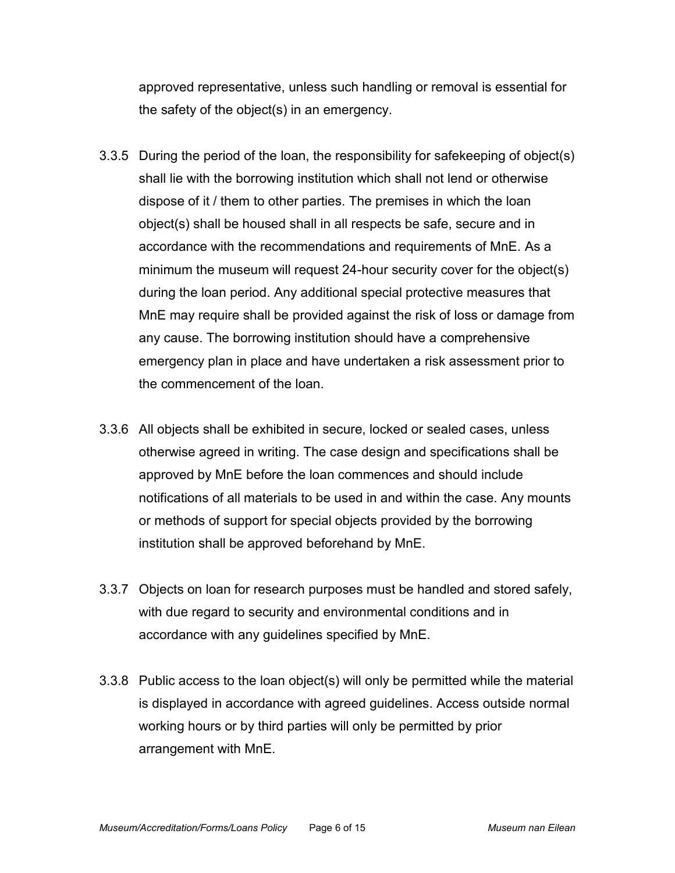approved representative, unless such handling or removal is essential for the safety of the object(s) in an emergency.

- 3.3.5 During the period of the loan, the responsibility for safekeeping of object(s) shall lie with the borrowing institution which shall not lend or otherwise dispose of it / them to other parties. The premises in which the loan object(s) shall be housed shall in all respects be safe, secure and in accordance with the recommendations and requirements of MnE. As a minimum the museum will request 24-hour security cover for the object(s) during the loan period. Any additional special protective measures that MnE may require shall be provided against the risk of loss or damage from any cause. The borrowing institution should have a comprehensive emergency plan in place and have undertaken a risk assessment prior to the commencement of the loan.
- 3.3.6 All objects shall be exhibited in secure, locked or sealed cases, unless otherwise agreed in writing. The case design and specifications shall be approved by MnE before the loan commences and should include notifications of all materials to be used in and within the case. Any mounts or methods of support for special objects provided by the borrowing institution shall be approved beforehand by MnE.
- 3.3.7 Objects on loan for research purposes must be handled and stored safely, with due regard to security and environmental conditions and in accordance with any guidelines specified by MnE.
- 3.3.8 Public access to the loan object(s) will only be permitted while the material is displayed in accordance with agreed guidelines. Access outside normal working hours or by third parties will only be permitted by prior arrangement with MnE.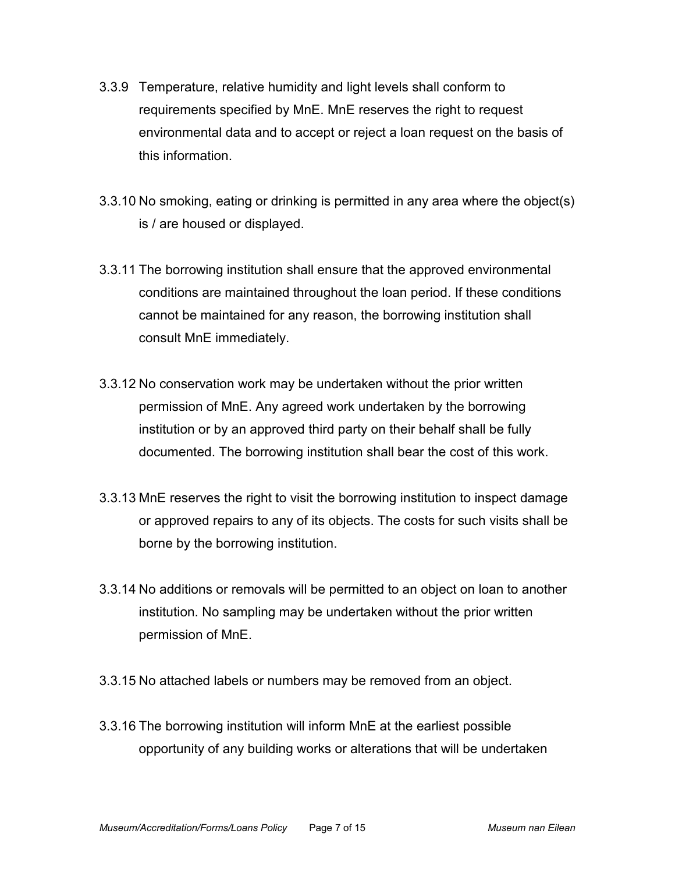- 3.3.9 Temperature, relative humidity and light levels shall conform to requirements specified by MnE. MnE reserves the right to request environmental data and to accept or reject a loan request on the basis of this information.
- 3.3.10 No smoking, eating or drinking is permitted in any area where the object(s) is / are housed or displayed.
- 3.3.11 The borrowing institution shall ensure that the approved environmental conditions are maintained throughout the loan period. If these conditions cannot be maintained for any reason, the borrowing institution shall consult MnE immediately.
- 3.3.12 No conservation work may be undertaken without the prior written permission of MnE. Any agreed work undertaken by the borrowing institution or by an approved third party on their behalf shall be fully documented. The borrowing institution shall bear the cost of this work.
- 3.3.13 MnE reserves the right to visit the borrowing institution to inspect damage or approved repairs to any of its objects. The costs for such visits shall be borne by the borrowing institution.
- 3.3.14 No additions or removals will be permitted to an object on loan to another institution. No sampling may be undertaken without the prior written permission of MnE.
- 3.3.15 No attached labels or numbers may be removed from an object.
- 3.3.16 The borrowing institution will inform MnE at the earliest possible opportunity of any building works or alterations that will be undertaken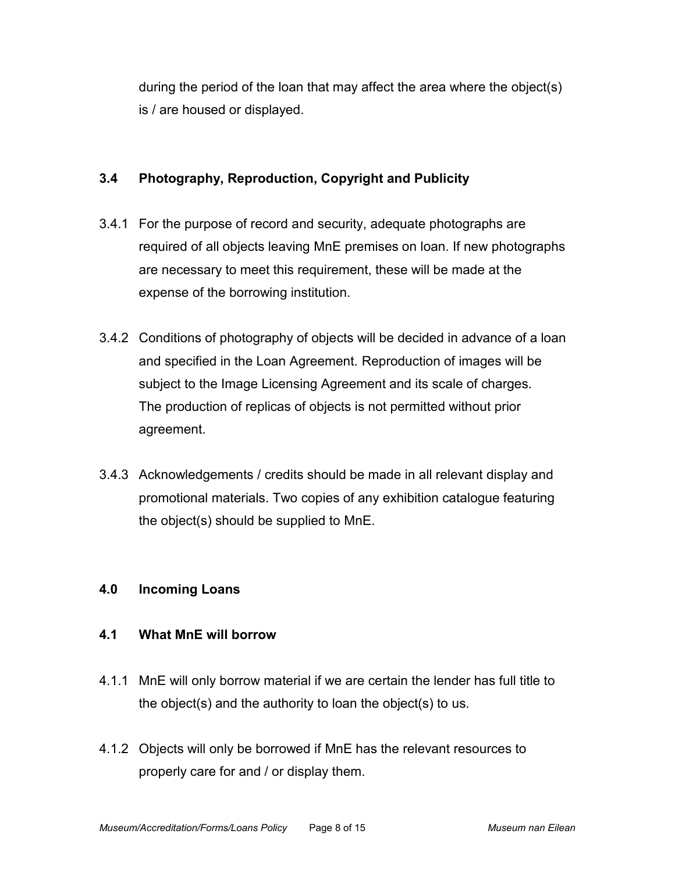during the period of the loan that may affect the area where the object(s) is / are housed or displayed.

# **3.4 Photography, Reproduction, Copyright and Publicity**

- 3.4.1 For the purpose of record and security, adequate photographs are required of all objects leaving MnE premises on loan. If new photographs are necessary to meet this requirement, these will be made at the expense of the borrowing institution.
- 3.4.2 Conditions of photography of objects will be decided in advance of a loan and specified in the Loan Agreement. Reproduction of images will be subject to the Image Licensing Agreement and its scale of charges. The production of replicas of objects is not permitted without prior agreement.
- 3.4.3 Acknowledgements / credits should be made in all relevant display and promotional materials. Two copies of any exhibition catalogue featuring the object(s) should be supplied to MnE.

# **4.0 Incoming Loans**

## **4.1 What MnE will borrow**

- 4.1.1 MnE will only borrow material if we are certain the lender has full title to the object(s) and the authority to loan the object(s) to us.
- 4.1.2 Objects will only be borrowed if MnE has the relevant resources to properly care for and / or display them.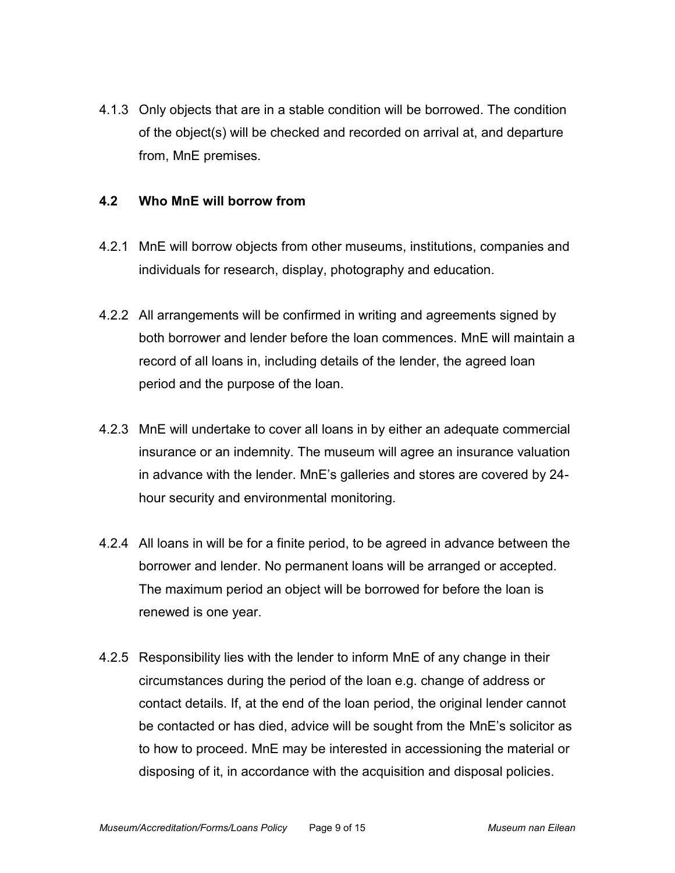4.1.3 Only objects that are in a stable condition will be borrowed. The condition of the object(s) will be checked and recorded on arrival at, and departure from, MnE premises.

#### **4.2 Who MnE will borrow from**

- 4.2.1 MnE will borrow objects from other museums, institutions, companies and individuals for research, display, photography and education.
- 4.2.2 All arrangements will be confirmed in writing and agreements signed by both borrower and lender before the loan commences. MnE will maintain a record of all loans in, including details of the lender, the agreed loan period and the purpose of the loan.
- 4.2.3 MnE will undertake to cover all loans in by either an adequate commercial insurance or an indemnity. The museum will agree an insurance valuation in advance with the lender. MnE's galleries and stores are covered by 24 hour security and environmental monitoring.
- 4.2.4 All loans in will be for a finite period, to be agreed in advance between the borrower and lender. No permanent loans will be arranged or accepted. The maximum period an object will be borrowed for before the loan is renewed is one year.
- 4.2.5 Responsibility lies with the lender to inform MnE of any change in their circumstances during the period of the loan e.g. change of address or contact details. If, at the end of the loan period, the original lender cannot be contacted or has died, advice will be sought from the MnE's solicitor as to how to proceed. MnE may be interested in accessioning the material or disposing of it, in accordance with the acquisition and disposal policies.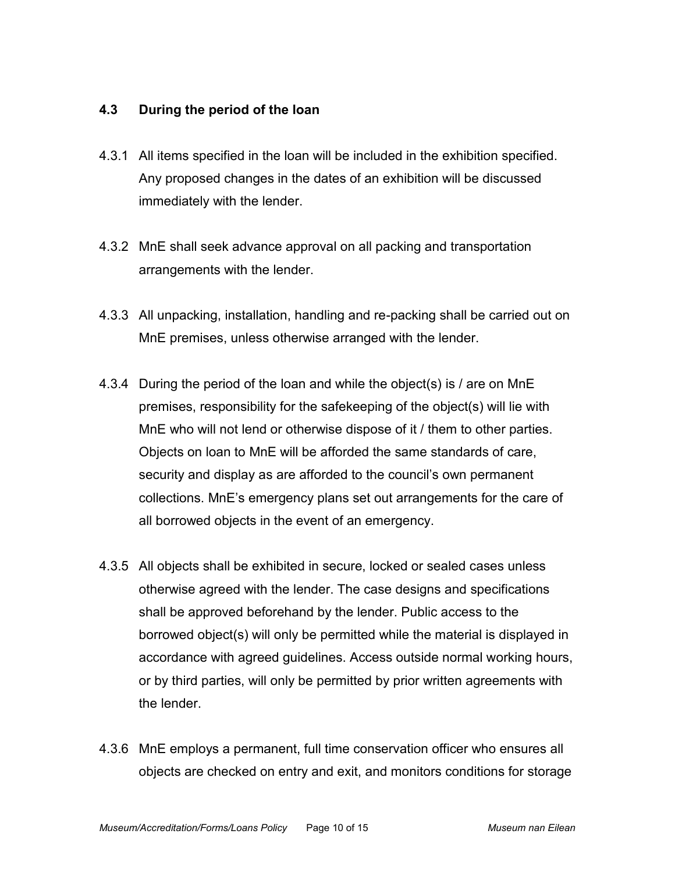#### **4.3 During the period of the loan**

- 4.3.1 All items specified in the loan will be included in the exhibition specified. Any proposed changes in the dates of an exhibition will be discussed immediately with the lender.
- 4.3.2 MnE shall seek advance approval on all packing and transportation arrangements with the lender.
- 4.3.3 All unpacking, installation, handling and re-packing shall be carried out on MnE premises, unless otherwise arranged with the lender.
- 4.3.4 During the period of the loan and while the object(s) is / are on MnE premises, responsibility for the safekeeping of the object(s) will lie with MnE who will not lend or otherwise dispose of it / them to other parties. Objects on loan to MnE will be afforded the same standards of care, security and display as are afforded to the council's own permanent collections. MnE's emergency plans set out arrangements for the care of all borrowed objects in the event of an emergency.
- 4.3.5 All objects shall be exhibited in secure, locked or sealed cases unless otherwise agreed with the lender. The case designs and specifications shall be approved beforehand by the lender. Public access to the borrowed object(s) will only be permitted while the material is displayed in accordance with agreed guidelines. Access outside normal working hours, or by third parties, will only be permitted by prior written agreements with the lender.
- 4.3.6 MnE employs a permanent, full time conservation officer who ensures all objects are checked on entry and exit, and monitors conditions for storage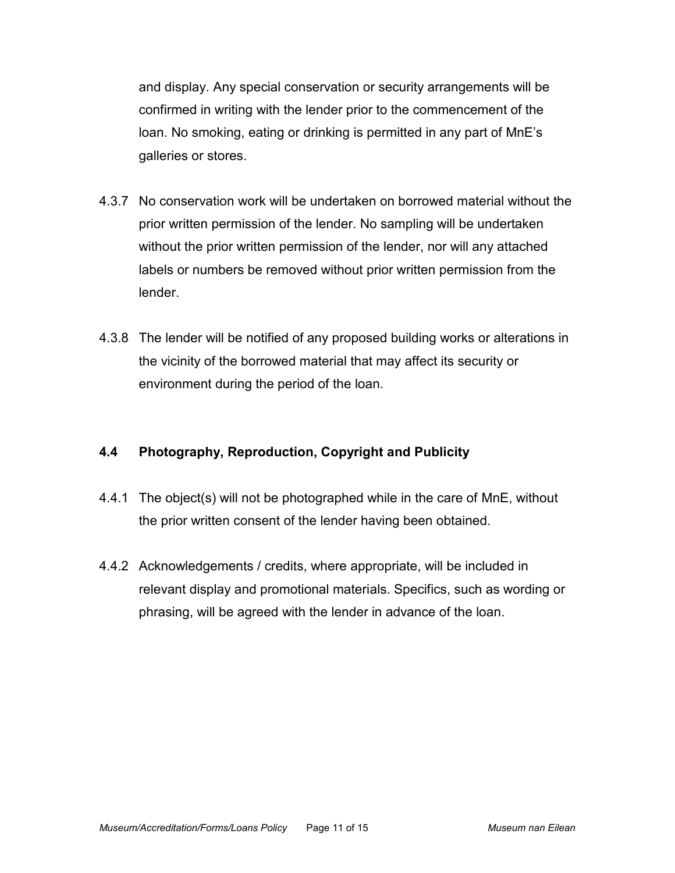and display. Any special conservation or security arrangements will be confirmed in writing with the lender prior to the commencement of the loan. No smoking, eating or drinking is permitted in any part of MnE's galleries or stores.

- 4.3.7 No conservation work will be undertaken on borrowed material without the prior written permission of the lender. No sampling will be undertaken without the prior written permission of the lender, nor will any attached labels or numbers be removed without prior written permission from the lender.
- 4.3.8 The lender will be notified of any proposed building works or alterations in the vicinity of the borrowed material that may affect its security or environment during the period of the loan.

## **4.4 Photography, Reproduction, Copyright and Publicity**

- 4.4.1 The object(s) will not be photographed while in the care of MnE, without the prior written consent of the lender having been obtained.
- 4.4.2 Acknowledgements / credits, where appropriate, will be included in relevant display and promotional materials. Specifics, such as wording or phrasing, will be agreed with the lender in advance of the loan.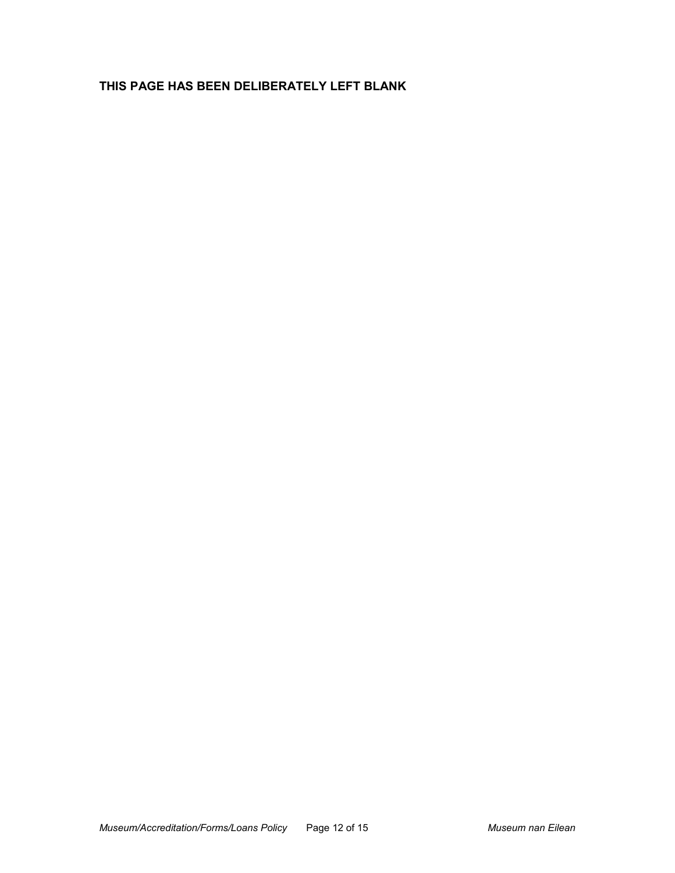# **THIS PAGE HAS BEEN DELIBERATELY LEFT BLANK**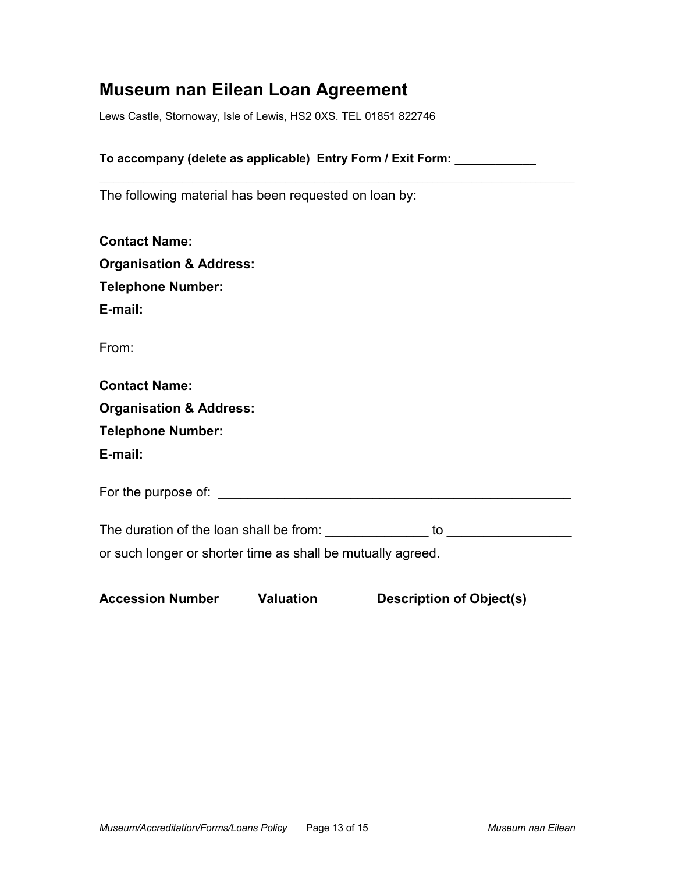# **Museum nan Eilean Loan Agreement**

Lews Castle, Stornoway, Isle of Lewis, HS2 0XS. TEL 01851 822746

#### **To accompany (delete as applicable) Entry Form / Exit Form: \_\_\_\_\_\_\_\_\_\_\_\_**

The following material has been requested on loan by:

| <b>Contact Name:</b>                                        |  |
|-------------------------------------------------------------|--|
| <b>Organisation &amp; Address:</b>                          |  |
| <b>Telephone Number:</b>                                    |  |
| E-mail:                                                     |  |
| From:                                                       |  |
| <b>Contact Name:</b>                                        |  |
| <b>Organisation &amp; Address:</b>                          |  |
| <b>Telephone Number:</b>                                    |  |
| E-mail:                                                     |  |
|                                                             |  |
|                                                             |  |
| or such longer or shorter time as shall be mutually agreed. |  |

 $\mathcal{L}_\mathcal{L} = \{ \mathcal{L}_\mathcal{L} = \{ \mathcal{L}_\mathcal{L} = \{ \mathcal{L}_\mathcal{L} = \{ \mathcal{L}_\mathcal{L} = \{ \mathcal{L}_\mathcal{L} = \{ \mathcal{L}_\mathcal{L} = \{ \mathcal{L}_\mathcal{L} = \{ \mathcal{L}_\mathcal{L} = \{ \mathcal{L}_\mathcal{L} = \{ \mathcal{L}_\mathcal{L} = \{ \mathcal{L}_\mathcal{L} = \{ \mathcal{L}_\mathcal{L} = \{ \mathcal{L}_\mathcal{L} = \{ \mathcal{L}_\mathcal{$ 

| <b>Accession Number</b><br><b>Valuation</b> | <b>Description of Object(s)</b> |  |
|---------------------------------------------|---------------------------------|--|
|---------------------------------------------|---------------------------------|--|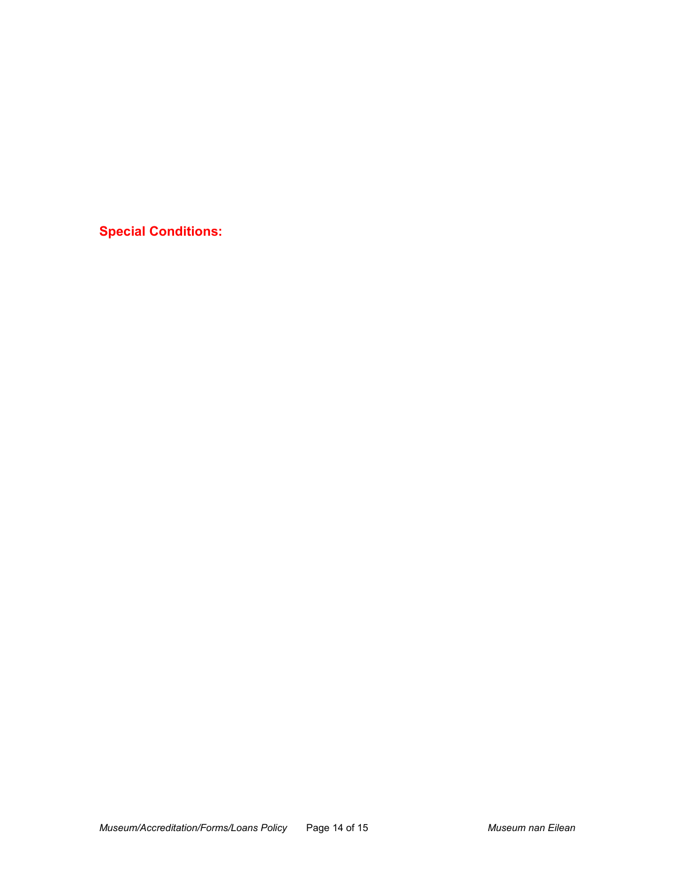**Special Conditions:**